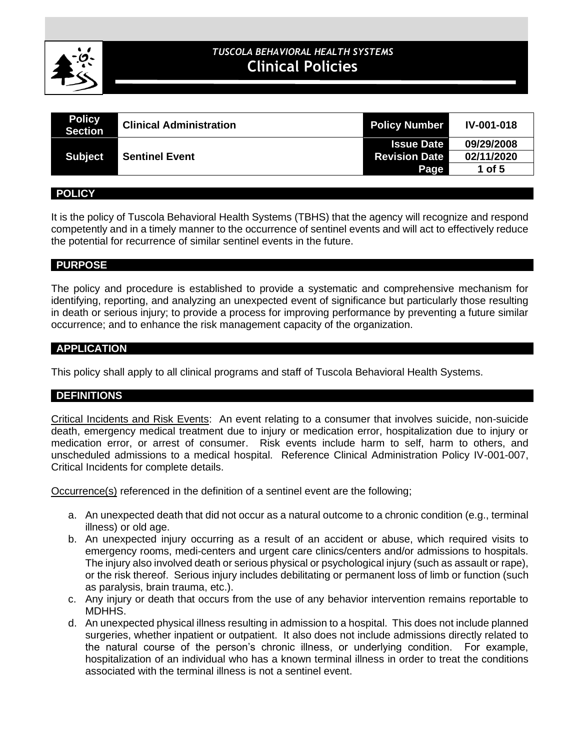

# **CLINICAL POLICIES** *TUSCOLA BEHAVIORAL HEALTH SYSTEMS* **Clinical Policies**

| <b>Policy</b><br><b>Section</b> | <b>Clinical Administration</b> | <b>Policy Number</b> | <b>IV-001-018</b> |
|---------------------------------|--------------------------------|----------------------|-------------------|
|                                 |                                | <b>Issue Date</b>    | 09/29/2008        |
| <b>Subject</b>                  | <b>Sentinel Event</b>          | <b>Revision Date</b> | 02/11/2020        |
|                                 |                                | Page                 | 1 of $5$          |

#### **POLICY**

It is the policy of Tuscola Behavioral Health Systems (TBHS) that the agency will recognize and respond competently and in a timely manner to the occurrence of sentinel events and will act to effectively reduce the potential for recurrence of similar sentinel events in the future.

#### **PURPOSE**

The policy and procedure is established to provide a systematic and comprehensive mechanism for identifying, reporting, and analyzing an unexpected event of significance but particularly those resulting in death or serious injury; to provide a process for improving performance by preventing a future similar occurrence; and to enhance the risk management capacity of the organization.

#### **APPLICATION**

This policy shall apply to all clinical programs and staff of Tuscola Behavioral Health Systems.

### **DEFINITIONS**

Critical Incidents and Risk Events: An event relating to a consumer that involves suicide, non-suicide death, emergency medical treatment due to injury or medication error, hospitalization due to injury or medication error, or arrest of consumer. Risk events include harm to self, harm to others, and unscheduled admissions to a medical hospital. Reference Clinical Administration Policy IV-001-007, Critical Incidents for complete details.

Occurrence(s) referenced in the definition of a sentinel event are the following;

- a. An unexpected death that did not occur as a natural outcome to a chronic condition (e.g., terminal illness) or old age.
- b. An unexpected injury occurring as a result of an accident or abuse, which required visits to emergency rooms, medi-centers and urgent care clinics/centers and/or admissions to hospitals. The injury also involved death or serious physical or psychological injury (such as assault or rape), or the risk thereof. Serious injury includes debilitating or permanent loss of limb or function (such as paralysis, brain trauma, etc.).
- c. Any injury or death that occurs from the use of any behavior intervention remains reportable to MDHHS.
- d. An unexpected physical illness resulting in admission to a hospital. This does not include planned surgeries, whether inpatient or outpatient. It also does not include admissions directly related to the natural course of the person's chronic illness, or underlying condition. For example, hospitalization of an individual who has a known terminal illness in order to treat the conditions associated with the terminal illness is not a sentinel event.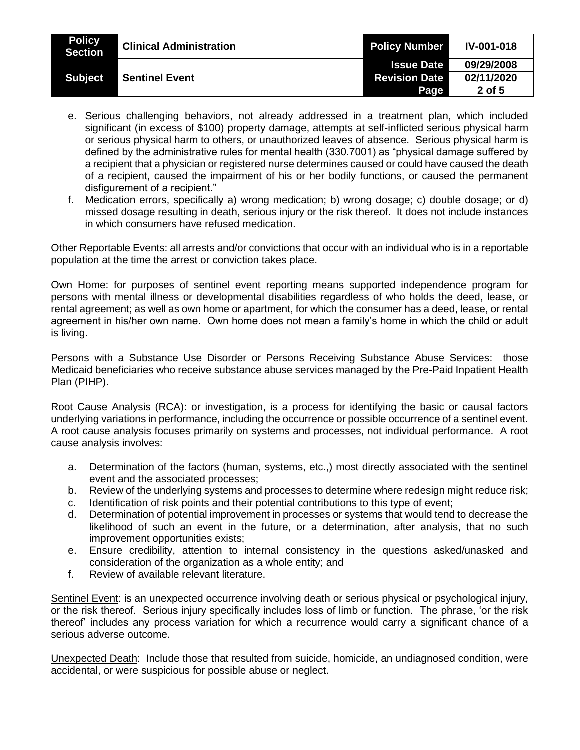| <b>Policy</b><br><b>Section</b> | <b>Clinical Administration</b> | <b>Policy Number</b> | <b>IV-001-018</b> |
|---------------------------------|--------------------------------|----------------------|-------------------|
|                                 |                                | <b>Issue Date</b>    | 09/29/2008        |
| <b>Subject</b>                  | <b>Sentinel Event</b>          | <b>Revision Date</b> | 02/11/2020        |
|                                 |                                | Page                 | 2 of 5            |

- e. Serious challenging behaviors, not already addressed in a treatment plan, which included significant (in excess of \$100) property damage, attempts at self-inflicted serious physical harm or serious physical harm to others, or unauthorized leaves of absence. Serious physical harm is defined by the administrative rules for mental health (330.7001) as "physical damage suffered by a recipient that a physician or registered nurse determines caused or could have caused the death of a recipient, caused the impairment of his or her bodily functions, or caused the permanent disfigurement of a recipient."
- f. Medication errors, specifically a) wrong medication; b) wrong dosage; c) double dosage; or d) missed dosage resulting in death, serious injury or the risk thereof. It does not include instances in which consumers have refused medication.

Other Reportable Events: all arrests and/or convictions that occur with an individual who is in a reportable population at the time the arrest or conviction takes place.

Own Home: for purposes of sentinel event reporting means supported independence program for persons with mental illness or developmental disabilities regardless of who holds the deed, lease, or rental agreement; as well as own home or apartment, for which the consumer has a deed, lease, or rental agreement in his/her own name. Own home does not mean a family's home in which the child or adult is living.

Persons with a Substance Use Disorder or Persons Receiving Substance Abuse Services: those Medicaid beneficiaries who receive substance abuse services managed by the Pre-Paid Inpatient Health Plan (PIHP).

Root Cause Analysis (RCA): or investigation, is a process for identifying the basic or causal factors underlying variations in performance, including the occurrence or possible occurrence of a sentinel event. A root cause analysis focuses primarily on systems and processes, not individual performance. A root cause analysis involves:

- a. Determination of the factors (human, systems, etc.,) most directly associated with the sentinel event and the associated processes;
- b. Review of the underlying systems and processes to determine where redesign might reduce risk;
- c. Identification of risk points and their potential contributions to this type of event;
- d. Determination of potential improvement in processes or systems that would tend to decrease the likelihood of such an event in the future, or a determination, after analysis, that no such improvement opportunities exists;
- e. Ensure credibility, attention to internal consistency in the questions asked/unasked and consideration of the organization as a whole entity; and
- f. Review of available relevant literature.

Sentinel Event: is an unexpected occurrence involving death or serious physical or psychological injury, or the risk thereof. Serious injury specifically includes loss of limb or function. The phrase, 'or the risk thereof' includes any process variation for which a recurrence would carry a significant chance of a serious adverse outcome.

Unexpected Death: Include those that resulted from suicide, homicide, an undiagnosed condition, were accidental, or were suspicious for possible abuse or neglect.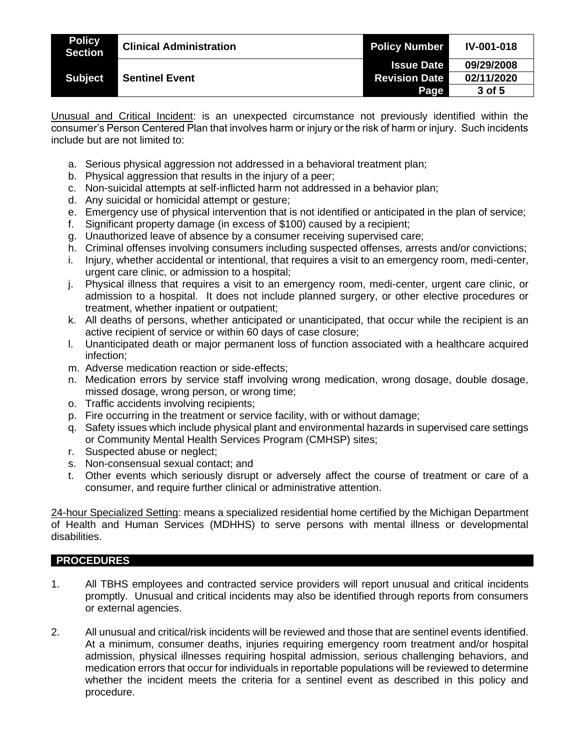| <b>Policy</b><br><b>Section</b> | <b>Clinical Administration</b> | <b>Policy Number</b> | <b>IV-001-018</b> |
|---------------------------------|--------------------------------|----------------------|-------------------|
|                                 |                                | <b>Issue Date</b>    | 09/29/2008        |
| <b>Subject</b>                  | <b>Sentinel Event</b>          | <b>Revision Date</b> | 02/11/2020        |
|                                 |                                | Page                 | 3 of 5            |

Unusual and Critical Incident: is an unexpected circumstance not previously identified within the consumer's Person Centered Plan that involves harm or injury or the risk of harm or injury. Such incidents include but are not limited to:

- a. Serious physical aggression not addressed in a behavioral treatment plan;
- b. Physical aggression that results in the injury of a peer;
- c. Non-suicidal attempts at self-inflicted harm not addressed in a behavior plan;
- d. Any suicidal or homicidal attempt or gesture;
- e. Emergency use of physical intervention that is not identified or anticipated in the plan of service;
- f. Significant property damage (in excess of \$100) caused by a recipient;
- g. Unauthorized leave of absence by a consumer receiving supervised care;
- h. Criminal offenses involving consumers including suspected offenses, arrests and/or convictions;
- i. Injury, whether accidental or intentional, that requires a visit to an emergency room, medi-center, urgent care clinic, or admission to a hospital;
- j. Physical illness that requires a visit to an emergency room, medi-center, urgent care clinic, or admission to a hospital. It does not include planned surgery, or other elective procedures or treatment, whether inpatient or outpatient;
- k. All deaths of persons, whether anticipated or unanticipated, that occur while the recipient is an active recipient of service or within 60 days of case closure;
- l. Unanticipated death or major permanent loss of function associated with a healthcare acquired infection;
- m. Adverse medication reaction or side-effects;
- n. Medication errors by service staff involving wrong medication, wrong dosage, double dosage, missed dosage, wrong person, or wrong time;
- o. Traffic accidents involving recipients;
- p. Fire occurring in the treatment or service facility, with or without damage;
- q. Safety issues which include physical plant and environmental hazards in supervised care settings or Community Mental Health Services Program (CMHSP) sites;
- r. Suspected abuse or neglect;
- s. Non-consensual sexual contact; and
- t. Other events which seriously disrupt or adversely affect the course of treatment or care of a consumer, and require further clinical or administrative attention.

24-hour Specialized Setting: means a specialized residential home certified by the Michigan Department of Health and Human Services (MDHHS) to serve persons with mental illness or developmental disabilities.

# **PROCEDURES**

- 1. All TBHS employees and contracted service providers will report unusual and critical incidents promptly. Unusual and critical incidents may also be identified through reports from consumers or external agencies.
- 2. All unusual and critical/risk incidents will be reviewed and those that are sentinel events identified. At a minimum, consumer deaths, injuries requiring emergency room treatment and/or hospital admission, physical illnesses requiring hospital admission, serious challenging behaviors, and medication errors that occur for individuals in reportable populations will be reviewed to determine whether the incident meets the criteria for a sentinel event as described in this policy and procedure.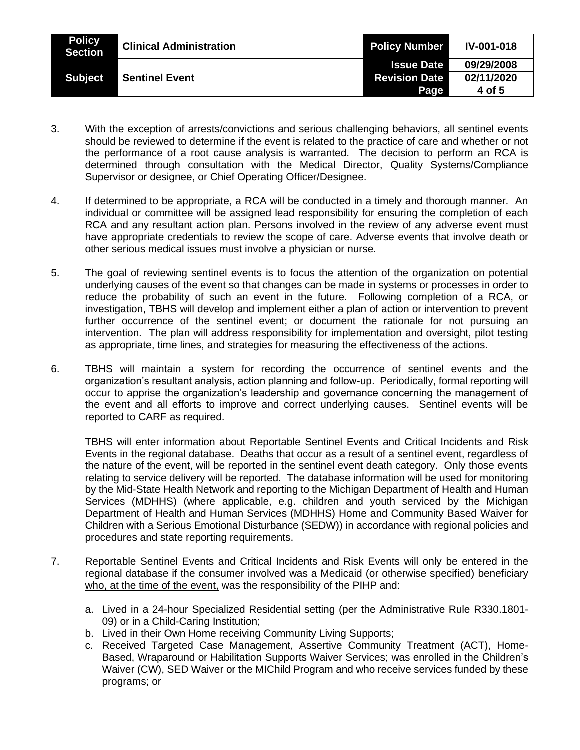| <b>Policy</b><br>Section | <b>Clinical Administration</b> | <b>Policy Number</b> | <b>IV-001-018</b> |
|--------------------------|--------------------------------|----------------------|-------------------|
|                          |                                | <b>Issue Date</b>    | 09/29/2008        |
| <b>Subject</b>           | <b>Sentinel Event</b>          | <b>Revision Date</b> | 02/11/2020        |
|                          |                                | Page                 | 4 of 5            |

- 3. With the exception of arrests/convictions and serious challenging behaviors, all sentinel events should be reviewed to determine if the event is related to the practice of care and whether or not the performance of a root cause analysis is warranted. The decision to perform an RCA is determined through consultation with the Medical Director, Quality Systems/Compliance Supervisor or designee, or Chief Operating Officer/Designee.
- 4. If determined to be appropriate, a RCA will be conducted in a timely and thorough manner. An individual or committee will be assigned lead responsibility for ensuring the completion of each RCA and any resultant action plan. Persons involved in the review of any adverse event must have appropriate credentials to review the scope of care. Adverse events that involve death or other serious medical issues must involve a physician or nurse.
- 5. The goal of reviewing sentinel events is to focus the attention of the organization on potential underlying causes of the event so that changes can be made in systems or processes in order to reduce the probability of such an event in the future. Following completion of a RCA, or investigation, TBHS will develop and implement either a plan of action or intervention to prevent further occurrence of the sentinel event; or document the rationale for not pursuing an intervention. The plan will address responsibility for implementation and oversight, pilot testing as appropriate, time lines, and strategies for measuring the effectiveness of the actions.
- 6. TBHS will maintain a system for recording the occurrence of sentinel events and the organization's resultant analysis, action planning and follow-up. Periodically, formal reporting will occur to apprise the organization's leadership and governance concerning the management of the event and all efforts to improve and correct underlying causes. Sentinel events will be reported to CARF as required.

TBHS will enter information about Reportable Sentinel Events and Critical Incidents and Risk Events in the regional database. Deaths that occur as a result of a sentinel event, regardless of the nature of the event, will be reported in the sentinel event death category. Only those events relating to service delivery will be reported. The database information will be used for monitoring by the Mid-State Health Network and reporting to the Michigan Department of Health and Human Services (MDHHS) (where applicable, e.g. children and youth serviced by the Michigan Department of Health and Human Services (MDHHS) Home and Community Based Waiver for Children with a Serious Emotional Disturbance (SEDW)) in accordance with regional policies and procedures and state reporting requirements.

- 7. Reportable Sentinel Events and Critical Incidents and Risk Events will only be entered in the regional database if the consumer involved was a Medicaid (or otherwise specified) beneficiary who, at the time of the event, was the responsibility of the PIHP and:
	- a. Lived in a 24-hour Specialized Residential setting (per the Administrative Rule R330.1801- 09) or in a Child-Caring Institution;
	- b. Lived in their Own Home receiving Community Living Supports;
	- c. Received Targeted Case Management, Assertive Community Treatment (ACT), Home-Based, Wraparound or Habilitation Supports Waiver Services; was enrolled in the Children's Waiver (CW), SED Waiver or the MIChild Program and who receive services funded by these programs; or